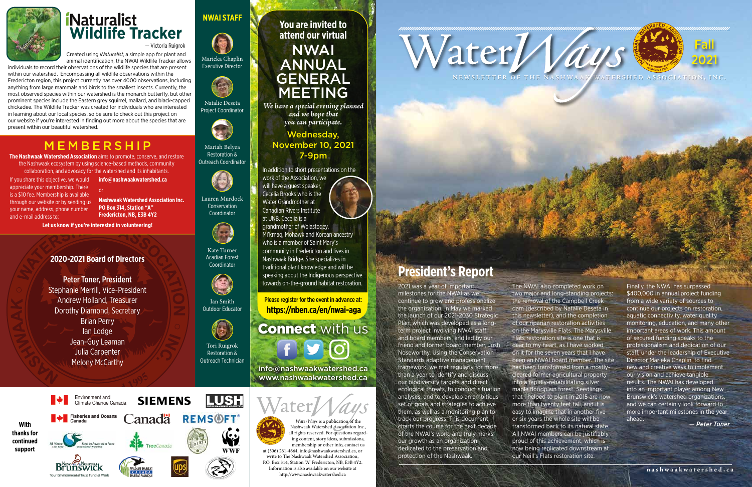

The NWAI also completed work on two major and long-standing projects: the removal of the Campbell Creek dam (described by Natalie Deseta in this newsletter), and the completion of our riparian restoration activities on the Marysville Flats. The Marysville Flats restoration site is one that is dear to my heart, as I have worked on it for the seven years that I have been an NWAI board member. The site has been transformed from a mostlycleared former agricultural property into a rapidly-rehabilitating silver maple floodplain forest. Seedlings that I helped to plant in 2015 are now more than twenty feet tall, and it is easy to imagine that in another five or six years the whole site will be transformed back to its natural state. All NWAI members can be justifiably proud of this achievement, which is now being replicated downstream at our Neill's Flats restoration site.

# **President's Report**

**You are invited to attend our virtual**

NWAI ANNUAL GENERAL MEETING

*WaterWays* is a publication of the Nashwaak Watershed Association Inc., all rights reserved. For questions regarding content, story ideas, submissions, membership or other info, contact us at (506) 261-4664, info@nashwaakwatershed.ca, or write to The Nashwaak Watershed Association, P.O. Box 314, Station "A" Fredericton, NB, E3B 4Y2. Information is also available on our website at http://www.nashwaakwatershed.ca

*We have a special evening planned and we hope that you can participate.*

Wednesday, November 10, 2021 7-9pm

In addition to short presentations on the work of the Association, we will have a guest speaker, Cecelia Brooks who is the Water Grandmother at Canadian Rivers Institute at UNB. Cecelia is a grandmother of Wolastoqey,

Mi'kmaq, Mohawk and Korean ancestry who is a member of Saint Mary's community in Fredericton and lives in Nashwaak Bridge. She specializes in traditional plant knowledge and will be speaking about the Indigenous perspective towards on-the-ground habitat restoration.

Please register for the event in advance at: **https://nben.ca/en/nwai-aga**

**Connect** with us  $f \mid g \mid o'$ 

info@nashwaakwatershed.ca www.nashwaakwatershed.ca



If you share this objective, we would appreciate your membership. There is a \$10 fee. Membership is available through our website or by sending us your name, address, phone number and e-mail address to:

## MEMBERSHIP

**The Nashwaak Watershed Association** aims to promote, conserve, and restore

the Nashwaak ecosystem by using science-based methods, community collaboration, and advocacy for the watershed and its inhabitants.



## **NWAI STAFF**





# *Naturalist* **Wildlife Tracker**

2021 was a year of important milestones for the NWAI as we continue to grow and professionalize the organization. In May we marked the launch of our 2021-2030 Strategic Plan, which was developed as a longterm project involving NWAI staff and board members, and led by our friend and former board member, Josh Noseworthy. Using the Conservation Standards adaptive management framework, we met regularly for more than a year to identify and discuss our biodiversity targets and direct ecological threats, to conduct situation analyses, and to develop an ambitious set of goals and strategies to achieve them, as well as a monitoring plan to track our progress. This document charts the course for the next decade of the NWAI's work, and truly marks our growth as an organization dedicated to the preservation and protection of the Nashwaak.

Finally, the NWAI has surpassed \$400,000 in annual project funding from a wide variety of sources to continue our projects on restoration, aquatic connectivity, water quality monitoring, education, and many other important areas of work. This amount of secured funding speaks to the professionalism and dedication of our staff, under the leadership of Executive Director Marieka Chaplin, to find new and creative ways to implement our vision and achieve tangible results. The NWAI has developed into an important player among New Brunswick's watershed organizations, and we can certainly look forward to more important milestones in the year ahead.

*— Peter Toner*

#### **2020-2021 Board of Directors**

Peter Toner, President Stephanie Merrill, Vice-President Andrew Holland, Treasurer Dorothy Diamond, Secretary Brian Perry Ian Lodge Jean-Guy Leaman Julia Carpenter Melony McCarthy

Marieka Chaplin Executive Director



Natalie Deseta Project Coordinator



Mariah Belyea Restoration & Outreach Coordinator



Lauren Murdock Conservation Coordinator



Kate Turner Acadian Forest Coordinator



Ian Smith Outdoor Educator



Tori Ruigrok Restoration & Outreach Technician

**info@nashwaakwatershed.ca** or

**Nashwaak Watershed Association Inc. PO Box 314, Station "A" Fredericton, NB, E3B 4Y2** 

**Let us know if you're interested in volunteering!**

animal identification, the NWAI Wildlife Tracker allows individuals to record their observations of the wildlife species that are present

Created using *iNaturalist*, a simple app for plant and — Victoria Ruigrok

within our watershed. Encompassing all wildlife observations within the Fredericton region, this project currently has over 4000 observations, including anything from large mammals and birds to the smallest insects. Currently, the most observed species within our watershed is the monarch butterfly, but other prominent species include the Eastern grey squirrel, mallard, and black-capped chickadee. The Wildlife Tracker was created for individuals who are interested in learning about our local species, so be sure to check out this project on our website if you're interested in finding out more about the species that are present within our beautiful watershed.